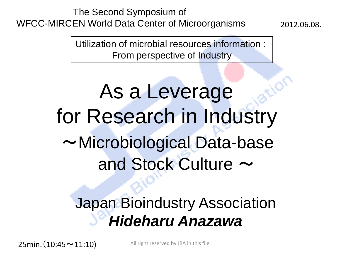The Second Symposium of WFCC-MIRCEN World Data Center of Microorganisms

2012.06.08.

Utilization of microbial resources information : From perspective of Industry

# As a Leverage for Research in Industry ~Microbiological Data-base and Stock Culture  $\sim$

## Japan Bioindustry Association *Hideharu Anazawa*

 $25min.(10:45 \sim 11:10)$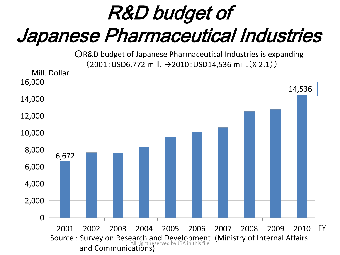# R&D budget of Japanese Pharmaceutical Industries

○R&D budget of Japanese Pharmaceutical Industries is expanding (2001:USD6,772 mill. →2010:USD14,536 mill.(X 2.1))

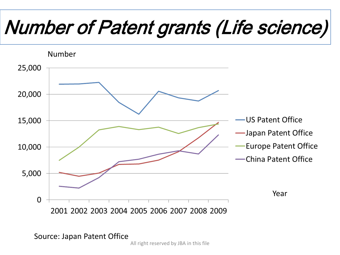# Number of Patent grants (Life science)



Source: Japan Patent Office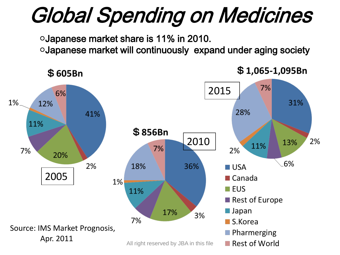# Global Spending on Medicines

○Japanese market share is 11% in 2010.

○Japanese market will continuously expand under aging society



 $$1,065-1,095Br$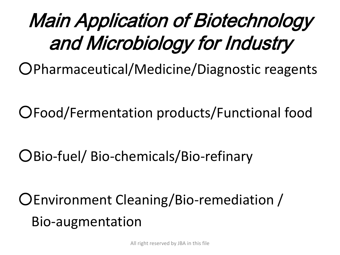# Main Application of Biotechnology and Microbiology for Industry

○Pharmaceutical/Medicine/Diagnostic reagents

○Food/Fermentation products/Functional food

○Bio-fuel/ Bio-chemicals/Bio-refinary

○Environment Cleaning/Bio-remediation / Bio-augmentation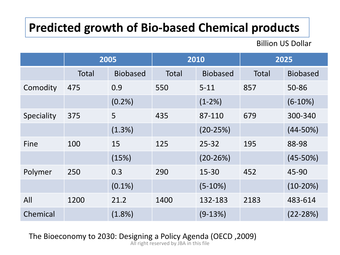#### **Predicted growth of Bio-based Chemical products**

Billion US Dollar

|            | 2005         |                 | 2010         |                 | 2025         |                 |
|------------|--------------|-----------------|--------------|-----------------|--------------|-----------------|
|            | <b>Total</b> | <b>Biobased</b> | <b>Total</b> | <b>Biobased</b> | <b>Total</b> | <b>Biobased</b> |
| Comodity   | 475          | 0.9             | 550          | $5 - 11$        | 857          | 50-86           |
|            |              | $(0.2\%)$       |              | $(1-2%)$        |              | $(6-10%)$       |
| Speciality | 375          | 5               | 435          | 87-110          | 679          | 300-340         |
|            |              | (1.3%)          |              | $(20-25%)$      |              | $(44 - 50\%)$   |
| Fine       | 100          | 15              | 125          | $25 - 32$       | 195          | 88-98           |
|            |              | (15%)           |              | $(20-26%)$      |              | $(45 - 50%)$    |
| Polymer    | 250          | 0.3             | 290          | 15-30           | 452          | 45-90           |
|            |              | $(0.1\%)$       |              | $(5-10%)$       |              | $(10-20%)$      |
| All        | 1200         | 21.2            | 1400         | 132-183         | 2183         | 483-614         |
| Chemical   |              | $(1.8\%)$       |              | $(9-13%)$       |              | $(22 - 28%)$    |

The Bioeconomy to 2030: Designing a Policy Agenda (OECD ,2009)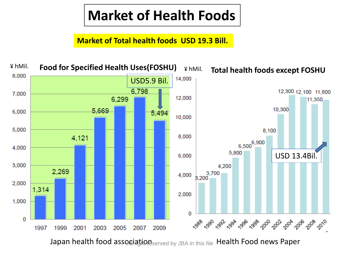## **Market of Health Foods**

**Market of Total health foods USD 19.3 Bill.**



Japan health food association  $\epsilon_\text{served by JBA in this file}$  Health Food news Paper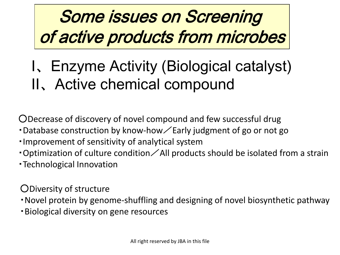## Some issues on Screening of active products from microbes

## Ⅰ、Enzyme Activity (Biological catalyst) Ⅱ、Active chemical compound

○Decrease of discovery of novel compound and few successful drug

- Database construction by know-how  $\angle$  Early judgment of go or not go
- ・Improvement of sensitivity of analytical system
- Optimization of culture condition  $\angle$  All products should be isolated from a strain
- ・Technological Innovation

○Diversity of structure

・Novel protein by genome-shuffling and designing of novel biosynthetic pathway

・Biological diversity on gene resources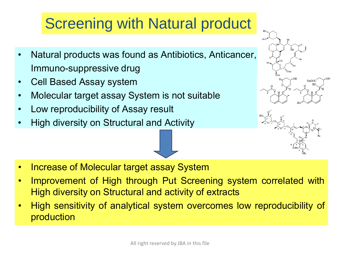## **Screening with Natural product**

- Natural products was found as Antibiotics, Anticancer, Immuno-suppressive drug
- Cell Based Assay system
- Molecular target assay System is not suitable
- Low reproducibility of Assay result
- High diversity on Structural and Activity





- Increase of Molecular target assay System
- Improvement of High through Put Screening system correlated with High diversity on Structural and activity of extracts
- High sensitivity of analytical system overcomes low reproducibility of production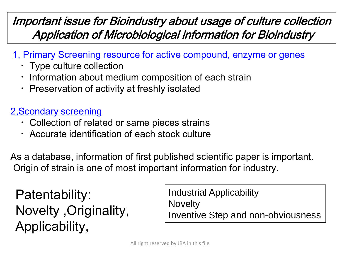#### Important issue for Bioindustry about usage of culture collection Application of Microbiological information for Bioindustry

#### 1, Primary Screening resource for active compound, enzyme or genes

- ・Type culture collection
- $\cdot$  Information about medium composition of each strain
- ・Preservation of activity at freshly isolated

#### 2,Scondary screening

- ・Collection of related or same pieces strains
- Accurate identification of each stock culture

As a database, information of first published scientific paper is important. Origin of strain is one of most important information for industry.

Patentability: Novelty ,Originality, Applicability,

Industrial Applicability **Novelty** Inventive Step and non-obviousness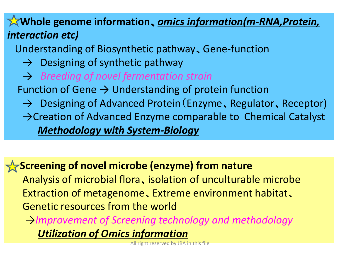#### **Whole genome information**、*omics information(m-RNA,Protein, interaction etc)*

Understanding of Biosynthetic pathway、Gene-function

- $\rightarrow$  Designing of synthetic pathway
- → *Breeding of novel fermentation strain*

Function of Gene  $\rightarrow$  Understanding of protein function

 → Designing of Advanced Protein(Enzyme、Regulator、Receptor) →Creation of Advanced Enzyme comparable to Chemical Catalyst  *Methodology with System-Biology*

#### **Screening of novel microbe (enzyme) from nature**

 Analysis of microbial flora、isolation of unculturable microbe Extraction of metagenome、Extreme environment habitat、 Genetic resources from the world

 →*Improvement of Screening technology and methodology Utilization of Omics information*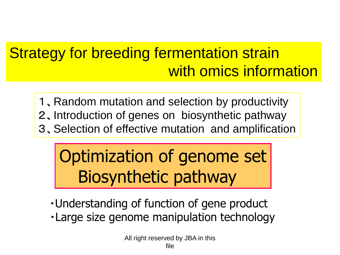## Strategy for breeding fermentation strain with omics information

1、Random mutation and selection by productivity 2、Introduction of genes on biosynthetic pathway 3、Selection of effective mutation and amplification

## Optimization of genome set Biosynthetic pathway

- ・Understanding of function of gene product
- ・Large size genome manipulation technology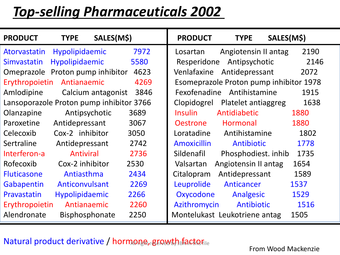## *Top-selling Pharmaceuticals 2002*

| <b>PRODUCT</b>                           | <b>TYPE</b>           | SALES(M\$)         |      | <b>PRODUCT</b>     | <b>TYPE</b>                   | SALES(M\$)                              |
|------------------------------------------|-----------------------|--------------------|------|--------------------|-------------------------------|-----------------------------------------|
| Atorvastatin                             | Hypolipidaemic        |                    | 7972 | Losartan           | Angiotensin II antag          | 2190                                    |
| Simvastatin                              | Hypolipidaemic        |                    | 5580 | Resperidone        | Antipsychotic                 | 2146                                    |
| Omeprazole Proton pump inhibitor         |                       |                    | 4623 | Venlafaxine        | Antidepressant                | 2072                                    |
| Erythropoietin                           | Antianaemic           |                    | 4269 |                    |                               | Esomeprazole Proton pump inhibitor 1978 |
| Amlodipine                               |                       | Calcium antagonist | 3846 |                    | Fexofenadine Antihistamine    | 1915                                    |
| Lansoporazole Proton pump inhibitor 3766 |                       |                    |      | Clopidogrel        | Platelet antiaggreg           | 1638                                    |
| Olanzapine                               | Antipsychotic         |                    | 3689 | <b>Insulin</b>     | Antidiabetic                  | 1880                                    |
| Paroxetine                               | Antidepressant        |                    | 3067 | <b>Oestrone</b>    | Hormonal                      | 1880                                    |
| Celecoxib                                | Cox-2 inhibitor       |                    | 3050 | Loratadine         | Antihistamine                 | 1802                                    |
| Sertraline                               | Antidepressant        |                    | 2742 | <b>Amoxicillin</b> | Antibiotic                    | 1778                                    |
| Interferon-a                             | Antiviral             |                    | 2736 | Sildenafil         | Phosphodiest. inhib           | 1735                                    |
| Rofecoxib                                | Cox-2 inhibitor       |                    | 2530 | Valsartan          | Angiotensin II antag          | 1654                                    |
| <b>Fluticasone</b>                       | Antiasthma            |                    | 2434 | Citalopram         | Antidepressant                | 1589                                    |
| Gabapentin                               | Anticonvulsant        |                    | 2269 | Leuprolide         | Anticancer                    | 1537                                    |
| Pravastatin                              | <b>Hypolipidaemic</b> |                    | 2266 | Oxycodone          | Analgesic                     | 1529                                    |
| Erythropoietin                           | Antianaemic           |                    | 2260 | Azithromycin       | Antibiotic                    | 1516                                    |
| Alendronate                              | <b>Bisphosphonate</b> |                    | 2250 |                    | Montelukast Leukotriene antag | 1505                                    |

#### Natural product derivative / hormone, growth factor file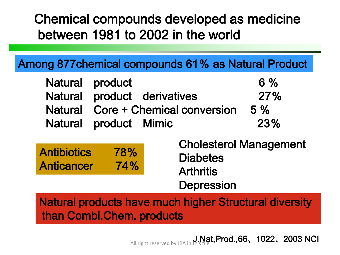#### Chemical compounds developed as medicine between 1981 to 2002 in the world

#### Among 877chemical compounds 61% as Natural Product

| Natural product                    | 6%    |
|------------------------------------|-------|
| Natural product derivatives        | 27%   |
| Natural Core + Chemical conversion | $5\%$ |
| Natural product Mimic              | 23%   |

| <b>Antibiotics</b> | 78% |
|--------------------|-----|
| Anticancer         | 74% |

Cholesterol Management **Diabetes Arthritis Depression** 

Natural products have much higher Structural diversity than Combi.Chem. products

All right reserved by JBA in this file **Prod.,66、1022、2003 NCI**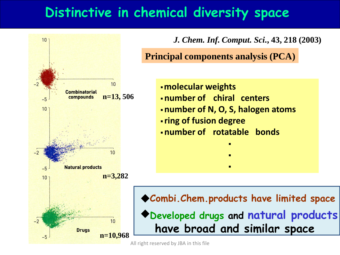#### **Distinctive in chemical diversity space**



*J. Chem. Inf. Comput. Sci***., 43, 218 (2003)** 

**Principal components analysis (PCA)**

- ・**molecular weights**
- ・**number of chiral centers**
- ・**number of N, O, S, halogen atoms**

・

・

・

- ・**ring of fusion degree**
- ・**number of rotatable bonds**

**Combi.Chem.products have limited space** ◆ ◆**Developed drugs and natural products have broad and similar space**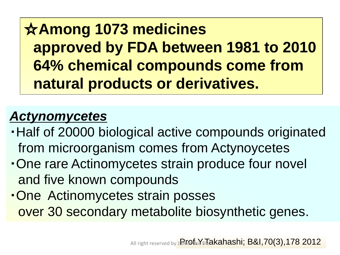☆**Among 1073 medicines approved by FDA between 1981 to 2010 64% chemical compounds come from natural products or derivatives.**

### *Actynomycetes*

- ・Half of 20000 biological active compounds originated from microorganism comes from Actynoycetes
- ・One rare Actinomycetes strain produce four novel and five known compounds
- ・One Actinomycetes strain posses over 30 secondary metabolite biosynthetic genes.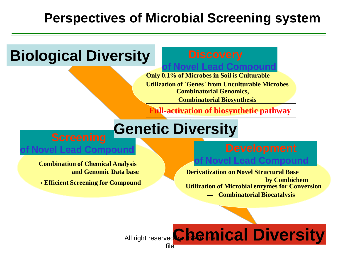#### **Perspectives of Microbial Screening system**

### **Biological Diversity**

**Lead Compound** 

**Only 0.1% of Microbes in Soil is Culturable Utilization of `Genes` from Unculturable Microbes Combinatorial Genomics, Combinatorial Biosynthesis**

 **Full-activation of biosynthetic pathway**

## **Genetic Diversity**

**Combination of Chemical Analysis and Genomic Data base**

**→ Efficient Screening for Compound**

## **of Novel Lead Compound**

**Derivatization on Novel Structural Base by Combichem Utilization of Microbial enzymes for Conversion → Combinatorial Biocatalysis**

#### All right reserved **Chemical Diversity** file